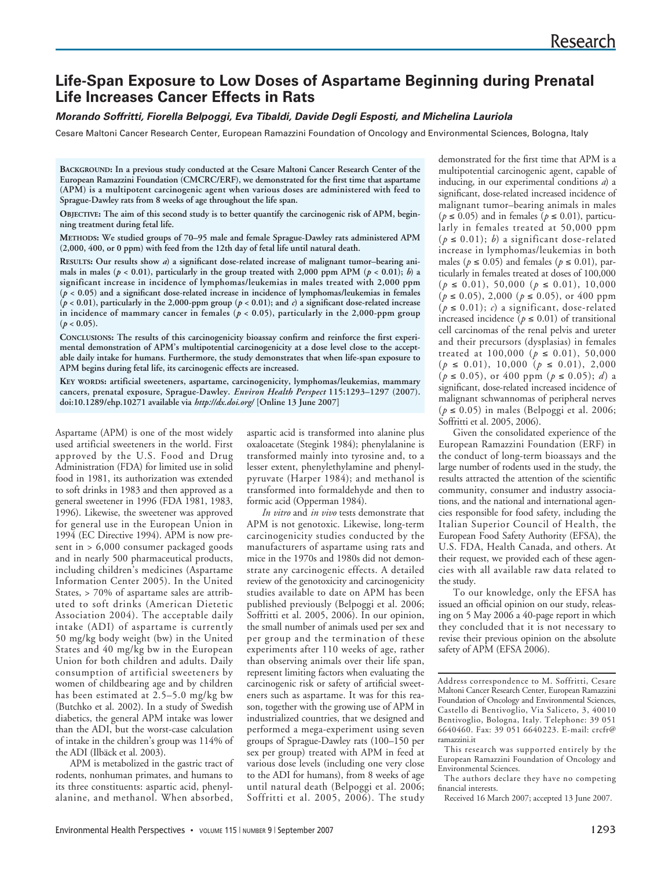# **Life-Span Exposure to Low Doses of Aspartame Beginning during Prenatal Life Increases Cancer Effects in Rats**

# **Morando Soffritti, Fiorella Belpoggi, Eva Tibaldi, Davide Degli Esposti, and Michelina Lauriola**

Cesare Maltoni Cancer Research Center, European Ramazzini Foundation of Oncology and Environmental Sciences, Bologna, Italy

**BACKGROUND: In a previous study conducted at the Cesare Maltoni Cancer Research Center of the European Ramazzini Foundation (CMCRC/ERF), we demonstrated for the first time that aspartame (APM) is a multipotent carcinogenic agent when various doses are administered with feed to Sprague-Dawley rats from 8 weeks of age throughout the life span.**

**OBJECTIVE: The aim of this second study is to better quantify the carcinogenic risk of APM, beginning treatment during fetal life.** 

**METHODS: We studied groups of 70–95 male and female Sprague-Dawley rats administered APM (2,000, 400, or 0 ppm) with feed from the 12th day of fetal life until natural death.**

**RESULTS: Our results show** *a***) a significant dose-related increase of malignant tumor–bearing ani**mals in males ( $p < 0.01$ ), particularly in the group treated with 2,000 ppm APM ( $p < 0.01$ ); *b*) a **significant increase in incidence of lymphomas/leukemias in males treated with 2,000 ppm (***p* **< 0.05) and a significant dose-related increase in incidence of lymphomas/leukemias in females (***p* **< 0.01), particularly in the 2,000-ppm group (***p* **< 0.01); and** *c***) a significant dose-related increase** in incidence of mammary cancer in females  $(p < 0.05)$ , particularly in the 2,000-ppm group  $(p < 0.05)$ .

**CONCLUSIONS: The results of this carcinogenicity bioassay confirm and reinforce the first experimental demonstration of APM's multipotential carcinogenicity at a dose level close to the acceptable daily intake for humans. Furthermore, the study demonstrates that when life-span exposure to APM begins during fetal life, its carcinogenic effects are increased.** 

**KEY WORDS: artificial sweeteners, aspartame, carcinogenicity, lymphomas/leukemias, mammary cancers, prenatal exposure, Sprague-Dawley.** *Environ Health Perspect* **115:1293–1297 (2007). doi:10.1289/ehp.10271 available via** *http://dx.doi.org/* **[Online 13 June 2007]**

Aspartame (APM) is one of the most widely used artificial sweeteners in the world. First approved by the U.S. Food and Drug Administration (FDA) for limited use in solid food in 1981, its authorization was extended to soft drinks in 1983 and then approved as a general sweetener in 1996 (FDA 1981, 1983, 1996). Likewise, the sweetener was approved for general use in the European Union in 1994 (EC Directive 1994). APM is now present in > 6,000 consumer packaged goods and in nearly 500 pharmaceutical products, including children's medicines (Aspartame Information Center 2005). In the United States, > 70% of aspartame sales are attributed to soft drinks (American Dietetic Association 2004). The acceptable daily intake (ADI) of aspartame is currently 50 mg/kg body weight (bw) in the United States and 40 mg/kg bw in the European Union for both children and adults. Daily consumption of artificial sweeteners by women of childbearing age and by children has been estimated at 2.5–5.0 mg/kg bw (Butchko et al. 2002). In a study of Swedish diabetics, the general APM intake was lower than the ADI, but the worst-case calculation of intake in the children's group was 114% of the ADI (Ilbäck et al. 2003).

APM is metabolized in the gastric tract of rodents, nonhuman primates, and humans to its three constituents: aspartic acid, phenylalanine, and methanol. When absorbed,

aspartic acid is transformed into alanine plus oxaloacetate (Stegink 1984); phenylalanine is transformed mainly into tyrosine and, to a lesser extent, phenylethylamine and phenylpyruvate (Harper 1984); and methanol is transformed into formaldehyde and then to formic acid (Opperman 1984).

*In vitro* and *in vivo* tests demonstrate that APM is not genotoxic. Likewise, long-term carcinogenicity studies conducted by the manufacturers of aspartame using rats and mice in the 1970s and 1980s did not demonstrate any carcinogenic effects. A detailed review of the genotoxicity and carcinogenicity studies available to date on APM has been published previously (Belpoggi et al. 2006; Soffritti et al. 2005, 2006). In our opinion, the small number of animals used per sex and per group and the termination of these experiments after 110 weeks of age, rather than observing animals over their life span, represent limiting factors when evaluating the carcinogenic risk or safety of artificial sweeteners such as aspartame. It was for this reason, together with the growing use of APM in industrialized countries, that we designed and performed a mega-experiment using seven groups of Sprague-Dawley rats (100–150 per sex per group) treated with APM in feed at various dose levels (including one very close to the ADI for humans), from 8 weeks of age until natural death (Belpoggi et al. 2006; Soffritti et al. 2005, 2006). The study demonstrated for the first time that APM is a multipotential carcinogenic agent, capable of inducing, in our experimental conditions *a*) a significant, dose-related increased incidence of malignant tumor–bearing animals in males (*p* ≤ 0.05) and in females (*p* ≤ 0.01), particularly in females treated at 50,000 ppm (*p* ≤ 0.01); *b*) a significant dose-related increase in lymphomas/leukemias in both males ( $p \le 0.05$ ) and females ( $p \le 0.01$ ), particularly in females treated at doses of 100,000 (*p* ≤ 0.01), 50,000 (*p* ≤ 0.01), 10,000 (*p* ≤ 0.05), 2,000 (*p* ≤ 0.05), or 400 ppm (*p* ≤ 0.01); *c*) a significant, dose-related increased incidence ( $p \le 0.01$ ) of transitional cell carcinomas of the renal pelvis and ureter and their precursors (dysplasias) in females treated at 100,000 (*p* ≤ 0.01), 50,000 (*p* ≤ 0.01), 10,000 (*p* ≤ 0.01), 2,000  $(p \le 0.05)$ , or 400 ppm  $(p \le 0.05)$ ; *d*) a significant, dose-related increased incidence of malignant schwannomas of peripheral nerves (*p* ≤ 0.05) in males (Belpoggi et al. 2006; Soffritti et al. 2005, 2006).

Given the consolidated experience of the European Ramazzini Foundation (ERF) in the conduct of long-term bioassays and the large number of rodents used in the study, the results attracted the attention of the scientific community, consumer and industry associations, and the national and international agencies responsible for food safety, including the Italian Superior Council of Health, the European Food Safety Authority (EFSA), the U.S. FDA, Health Canada, and others. At their request, we provided each of these agencies with all available raw data related to the study.

To our knowledge, only the EFSA has issued an official opinion on our study, releasing on 5 May 2006 a 40-page report in which they concluded that it is not necessary to revise their previous opinion on the absolute safety of APM (EFSA 2006).

Address correspondence to M. Soffritti, Cesare Maltoni Cancer Research Center, European Ramazzini Foundation of Oncology and Environmental Sciences, Castello di Bentivoglio, Via Saliceto, 3, 40010 Bentivoglio, Bologna, Italy. Telephone: 39 051 6640460. Fax: 39 051 6640223. E-mail: crcfr@ ramazzini.it

This research was supported entirely by the European Ramazzini Foundation of Oncology and Environmental Sciences.

The authors declare they have no competing financial interests.

Received 16 March 2007; accepted 13 June 2007.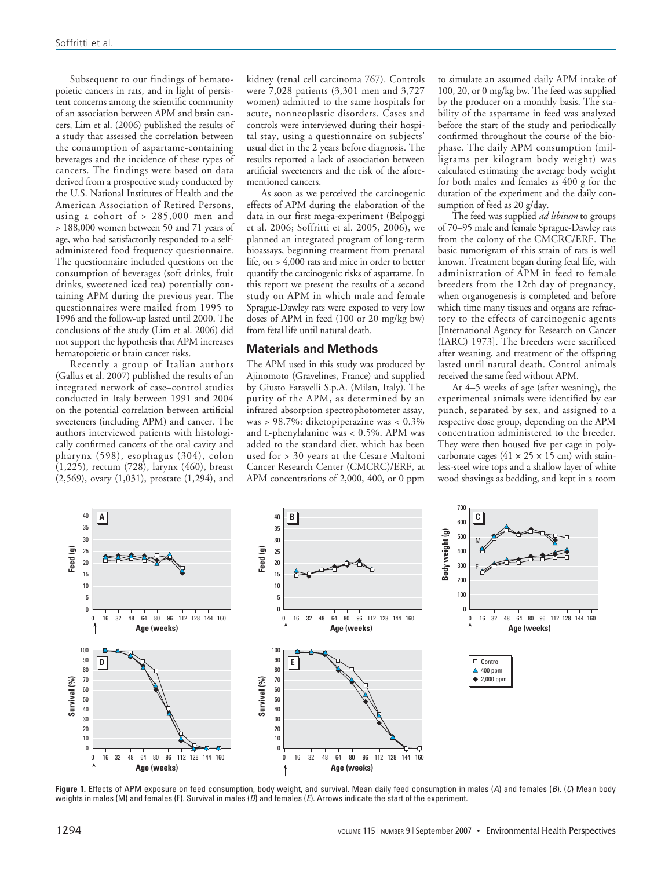Subsequent to our findings of hematopoietic cancers in rats, and in light of persistent concerns among the scientific community of an association between APM and brain cancers, Lim et al. (2006) published the results of a study that assessed the correlation between the consumption of aspartame-containing beverages and the incidence of these types of cancers. The findings were based on data derived from a prospective study conducted by the U.S. National Institutes of Health and the American Association of Retired Persons, using a cohort of > 285,000 men and > 188,000 women between 50 and 71 years of age, who had satisfactorily responded to a selfadministered food frequency questionnaire. The questionnaire included questions on the consumption of beverages (soft drinks, fruit drinks, sweetened iced tea) potentially containing APM during the previous year. The questionnaires were mailed from 1995 to 1996 and the follow-up lasted until 2000. The conclusions of the study (Lim et al. 2006) did not support the hypothesis that APM increases hematopoietic or brain cancer risks.

Recently a group of Italian authors (Gallus et al. 2007) published the results of an integrated network of case–control studies conducted in Italy between 1991 and 2004 on the potential correlation between artificial sweeteners (including APM) and cancer. The authors interviewed patients with histologically confirmed cancers of the oral cavity and pharynx (598), esophagus (304), colon (1,225), rectum (728), larynx (460), breast (2,569), ovary (1,031), prostate (1,294), and

kidney (renal cell carcinoma 767). Controls were 7,028 patients (3,301 men and 3,727 women) admitted to the same hospitals for acute, nonneoplastic disorders. Cases and controls were interviewed during their hospital stay, using a questionnaire on subjects' usual diet in the 2 years before diagnosis. The results reported a lack of association between artificial sweeteners and the risk of the aforementioned cancers.

As soon as we perceived the carcinogenic effects of APM during the elaboration of the data in our first mega-experiment (Belpoggi et al. 2006; Soffritti et al. 2005, 2006), we planned an integrated program of long-term bioassays, beginning treatment from prenatal life, on > 4,000 rats and mice in order to better quantify the carcinogenic risks of aspartame. In this report we present the results of a second study on APM in which male and female Sprague-Dawley rats were exposed to very low doses of APM in feed (100 or 20 mg/kg bw) from fetal life until natural death.

### **Materials and Methods**

The APM used in this study was produced by Ajinomoto (Gravelines, France) and supplied by Giusto Faravelli S.p.A. (Milan, Italy). The purity of the APM, as determined by an infrared absorption spectrophotometer assay, was > 98.7%: diketopiperazine was < 0.3% and L-phenylalanine was < 0.5%. APM was added to the standard diet, which has been used for > 30 years at the Cesare Maltoni Cancer Research Center (CMCRC)/ERF, at APM concentrations of 2,000, 400, or 0 ppm

to simulate an assumed daily APM intake of 100, 20, or 0 mg/kg bw. The feed was supplied by the producer on a monthly basis. The stability of the aspartame in feed was analyzed before the start of the study and periodically confirmed throughout the course of the biophase. The daily APM consumption (milligrams per kilogram body weight) was calculated estimating the average body weight for both males and females as 400 g for the duration of the experiment and the daily consumption of feed as 20 g/day.

The feed was supplied *ad libitum* to groups of 70–95 male and female Sprague-Dawley rats from the colony of the CMCRC/ERF. The basic tumorigram of this strain of rats is well known. Treatment began during fetal life, with administration of APM in feed to female breeders from the 12th day of pregnancy, when organogenesis is completed and before which time many tissues and organs are refractory to the effects of carcinogenic agents [International Agency for Research on Cancer (IARC) 1973]. The breeders were sacrificed after weaning, and treatment of the offspring lasted until natural death. Control animals received the same feed without APM.

At 4–5 weeks of age (after weaning), the experimental animals were identified by ear punch, separated by sex, and assigned to a respective dose group, depending on the APM concentration administered to the breeder. They were then housed five per cage in polycarbonate cages (41  $\times$  25  $\times$  15 cm) with stainless-steel wire tops and a shallow layer of white wood shavings as bedding, and kept in a room



Figure 1. Effects of APM exposure on feed consumption, body weight, and survival. Mean daily feed consumption in males (A) and females (B). (C) Mean body weights in males (M) and females (F). Survival in males (D) and females (E). Arrows indicate the start of the experiment.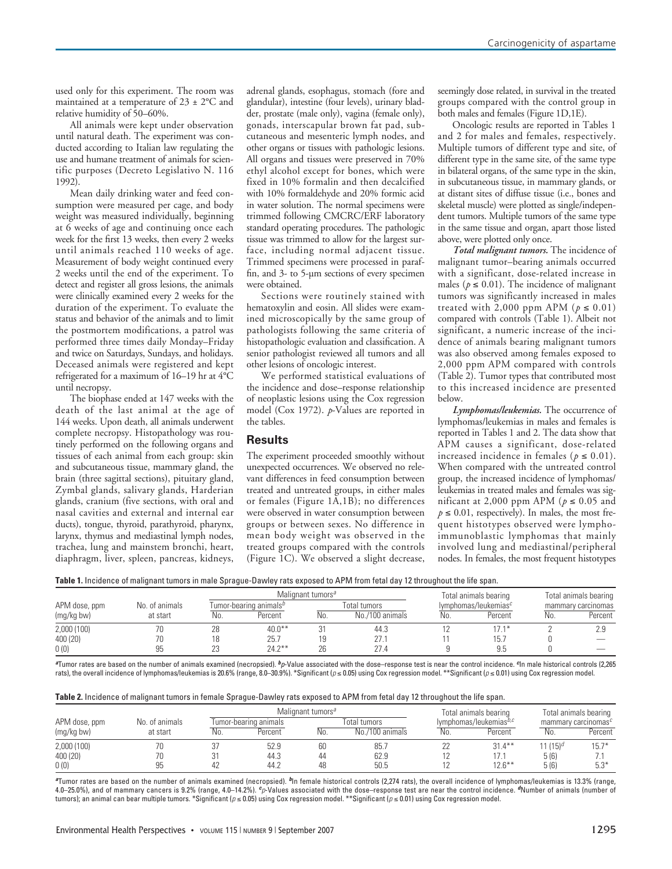used only for this experiment. The room was maintained at a temperature of 23 ± 2°C and relative humidity of 50–60%.

All animals were kept under observation until natural death. The experiment was conducted according to Italian law regulating the use and humane treatment of animals for scientific purposes (Decreto Legislativo N. 116 1992).

Mean daily drinking water and feed consumption were measured per cage, and body weight was measured individually, beginning at 6 weeks of age and continuing once each week for the first 13 weeks, then every 2 weeks until animals reached 110 weeks of age. Measurement of body weight continued every 2 weeks until the end of the experiment. To detect and register all gross lesions, the animals were clinically examined every 2 weeks for the duration of the experiment. To evaluate the status and behavior of the animals and to limit the postmortem modifications, a patrol was performed three times daily Monday–Friday and twice on Saturdays, Sundays, and holidays. Deceased animals were registered and kept refrigerated for a maximum of 16–19 hr at 4°C until necropsy.

The biophase ended at 147 weeks with the death of the last animal at the age of 144 weeks. Upon death, all animals underwent complete necropsy. Histopathology was routinely performed on the following organs and tissues of each animal from each group: skin and subcutaneous tissue, mammary gland, the brain (three sagittal sections), pituitary gland, Zymbal glands, salivary glands, Harderian glands, cranium (five sections, with oral and nasal cavities and external and internal ear ducts), tongue, thyroid, parathyroid, pharynx, larynx, thymus and mediastinal lymph nodes, trachea, lung and mainstem bronchi, heart, diaphragm, liver, spleen, pancreas, kidneys,

adrenal glands, esophagus, stomach (fore and glandular), intestine (four levels), urinary bladder, prostate (male only), vagina (female only), gonads, interscapular brown fat pad, subcutaneous and mesenteric lymph nodes, and other organs or tissues with pathologic lesions. All organs and tissues were preserved in 70% ethyl alcohol except for bones, which were fixed in 10% formalin and then decalcified with 10% formaldehyde and 20% formic acid in water solution. The normal specimens were trimmed following CMCRC/ERF laboratory standard operating procedures. The pathologic tissue was trimmed to allow for the largest surface, including normal adjacent tissue. Trimmed specimens were processed in paraffin, and 3- to 5-µm sections of every specimen were obtained.

Sections were routinely stained with hematoxylin and eosin. All slides were examined microscopically by the same group of pathologists following the same criteria of histopathologic evaluation and classification. A senior pathologist reviewed all tumors and all other lesions of oncologic interest.

We performed statistical evaluations of the incidence and dose–response relationship of neoplastic lesions using the Cox regression model (Cox 1972). *p*-Values are reported in the tables.

# **Results**

The experiment proceeded smoothly without unexpected occurrences. We observed no relevant differences in feed consumption between treated and untreated groups, in either males or females (Figure 1A,1B); no differences were observed in water consumption between groups or between sexes. No difference in mean body weight was observed in the treated groups compared with the controls (Figure 1C). We observed a slight decrease,

seemingly dose related, in survival in the treated groups compared with the control group in both males and females (Figure 1D,1E).

Oncologic results are reported in Tables 1 and 2 for males and females, respectively. Multiple tumors of different type and site, of different type in the same site, of the same type in bilateral organs, of the same type in the skin, in subcutaneous tissue, in mammary glands, or at distant sites of diffuse tissue (i.e., bones and skeletal muscle) were plotted as single/independent tumors. Multiple tumors of the same type in the same tissue and organ, apart those listed above, were plotted only once.

*Total malignant tumors.* The incidence of malignant tumor–bearing animals occurred with a significant, dose-related increase in males ( $p \le 0.01$ ). The incidence of malignant tumors was significantly increased in males treated with 2,000 ppm APM ( $p \le 0.01$ ) compared with controls (Table 1). Albeit not significant, a numeric increase of the incidence of animals bearing malignant tumors was also observed among females exposed to 2,000 ppm APM compared with controls (Table 2). Tumor types that contributed most to this increased incidence are presented below.

*Lymphomas/leukemias.* The occurrence of lymphomas/leukemias in males and females is reported in Tables 1 and 2. The data show that APM causes a significant, dose-related increased incidence in females ( $p \leq 0.01$ ). When compared with the untreated control group, the increased incidence of lymphomas/ leukemias in treated males and females was significant at 2,000 ppm APM ( $p \le 0.05$  and  $p \le 0.01$ , respectively). In males, the most frequent histotypes observed were lymphoimmunoblastic lymphomas that mainly involved lung and mediastinal/peripheral nodes. In females, the most frequent histotypes

|  |  | <b>Table 1.</b> Incidence of malignant tumors in male Sprague-Dawley rats exposed to APM from fetal day 12 throughout the life span. |
|--|--|--------------------------------------------------------------------------------------------------------------------------------------|
|  |  |                                                                                                                                      |

|               |                |     | Malignant tumors <sup>a</sup>      |         |                 | Total animals bearing |                         | Total animals bearing |                          |
|---------------|----------------|-----|------------------------------------|---------|-----------------|-----------------------|-------------------------|-----------------------|--------------------------|
| APM dose, ppm | No. of animals |     | Tumor-bearing animals <sup>b</sup> |         | Total tumors    |                       | lymphomas/leukemias $c$ |                       | mammary carcinomas       |
| (mg/kg bw)    | at start       | No. | Percent                            | No.     | No./100 animals | No.                   | Percent                 | No.                   | Percent                  |
| 2,000(100)    | 70             | 28  | $40.0***$                          | $\cdot$ | 44.3            |                       | $17.1*$                 |                       | 2 Q                      |
| 400 (20)      | 70             | 18  | 25.7                               |         | 27.1            |                       | 15.7                    |                       |                          |
| 0(0)          | 95             | 23  | $74.7***$                          | 26      | 27.4            |                       | 9.5                     |                       | $\overline{\phantom{a}}$ |

**<sup>a</sup>**Tumor rates are based on the number of animals examined (necropsied). **<sup>b</sup>**p-Value associated with the dose–response test is near the control incidence. **c**In male historical controls (2,265 rats), the overall incidence of lymphomas/leukemias is 20.6% (range, 8.0–30.9%). \*Significant ( $\rho$  ≤ 0.05) using Cox regression model. \*\*Significant ( $\rho$  ≤ 0.01) using Cox regression model.

|  |  | Table 2. Incidence of malignant tumors in female Sprague-Dawley rats exposed to APM from fetal day 12 throughout the life span. |
|--|--|---------------------------------------------------------------------------------------------------------------------------------|
|--|--|---------------------------------------------------------------------------------------------------------------------------------|

|               |                |     | Malignant tumors <sup>a</sup> |     |                 | Total animals bearing |                        | Total animals bearing |                        |
|---------------|----------------|-----|-------------------------------|-----|-----------------|-----------------------|------------------------|-----------------------|------------------------|
| APM dose, ppm | No. of animals |     | l umor-bearing animals        |     | Total tumors    |                       | Ivmphomas/leukemiasb,c |                       | mammary carcinomas $c$ |
| (mg/kg bw)    | at start       | No. | Percent                       | No. | No./100 animals | No.                   | Percent                | No.                   | Percent                |
| 2,000(100)    | 70             |     | 52.9                          | 60  | 85.7            | 22                    | $31.4***$              | 11 (15) <sup>d</sup>  | $15.7*$                |
| 400 (20)      | 70             |     | 44.3                          | 44  | 62.9            |                       |                        | 5(6)                  |                        |
| 0(0)          | qц<br>ں ن      |     | 44.2                          | 48  | 50.5            |                       | $12.6***$              | 5(6)                  | $5.3*$                 |

**<sup>a</sup>**Tumor rates are based on the number of animals examined (necropsied). **<sup>b</sup>**In female historical controls (2,274 rats), the overall incidence of lymphomas/leukemias is 13.3% (range, 4.0–25.0%), and of mammary cancers is 9.2% (range, 4.0–14.2%). **<sup>c</sup>**p-Values associated with the dose–response test are near the control incidence. **<sup>d</sup>**Number of animals (number of tumors); an animal can bear multiple tumors. \*Significant ( $\rho \le 0.05$ ) using Cox regression model. \*\*Significant ( $\rho \le 0.01$ ) using Cox regression model.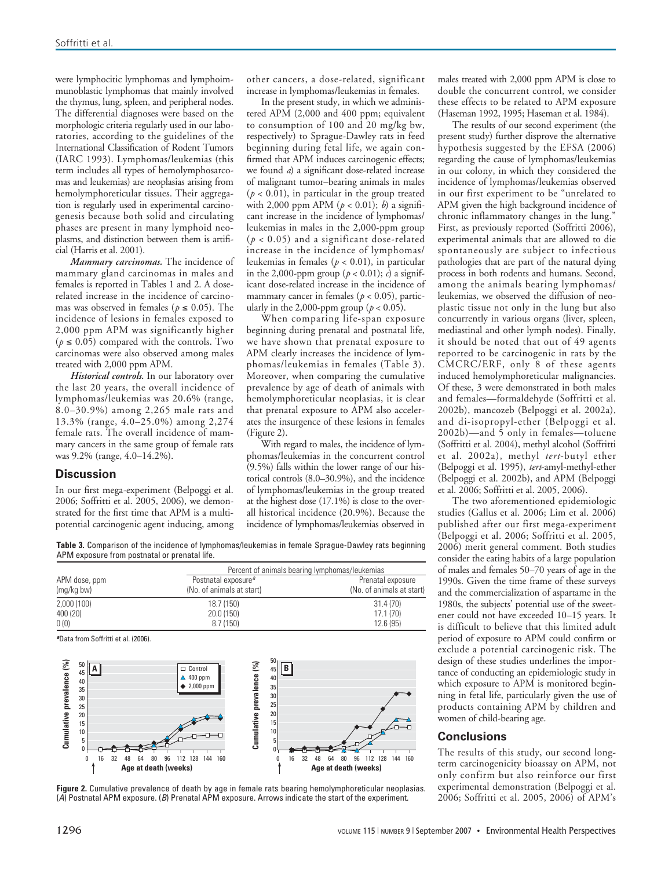were lymphocitic lymphomas and lymphoimmunoblastic lymphomas that mainly involved the thymus, lung, spleen, and peripheral nodes. The differential diagnoses were based on the morphologic criteria regularly used in our laboratories, according to the guidelines of the International Classification of Rodent Tumors (IARC 1993). Lymphomas/leukemias (this term includes all types of hemolymphosarcomas and leukemias) are neoplasias arising from hemolymphoreticular tissues. Their aggregation is regularly used in experimental carcinogenesis because both solid and circulating phases are present in many lymphoid neoplasms, and distinction between them is artificial (Harris et al. 2001).

*Mammary carcinomas.* The incidence of mammary gland carcinomas in males and females is reported in Tables 1 and 2. A doserelated increase in the incidence of carcinomas was observed in females ( $p \le 0.05$ ). The incidence of lesions in females exposed to 2,000 ppm APM was significantly higher  $(p \le 0.05)$  compared with the controls. Two carcinomas were also observed among males treated with 2,000 ppm APM.

*Historical controls.* In our laboratory over the last 20 years, the overall incidence of lymphomas/leukemias was 20.6% (range, 8.0–30.9%) among 2,265 male rats and 13.3% (range, 4.0–25.0%) among 2,274 female rats. The overall incidence of mammary cancers in the same group of female rats was 9.2% (range, 4.0–14.2%).

# **Discussion**

In our first mega-experiment (Belpoggi et al. 2006; Soffritti et al. 2005, 2006), we demonstrated for the first time that APM is a multipotential carcinogenic agent inducing, among other cancers, a dose-related, significant increase in lymphomas/leukemias in females.

In the present study, in which we administered APM (2,000 and 400 ppm; equivalent to consumption of 100 and 20 mg/kg bw, respectively) to Sprague-Dawley rats in feed beginning during fetal life, we again confirmed that APM induces carcinogenic effects; we found *a*) a significant dose-related increase of malignant tumor–bearing animals in males  $(p < 0.01)$ , in particular in the group treated with 2,000 ppm APM (*p* < 0.01); *b*) a significant increase in the incidence of lymphomas/ leukemias in males in the 2,000-ppm group  $(p < 0.05)$  and a significant dose-related increase in the incidence of lymphomas/ leukemias in females (*p* < 0.01), in particular in the 2,000-ppm group  $(p < 0.01)$ ; *c*) a significant dose-related increase in the incidence of mammary cancer in females ( $p < 0.05$ ), particularly in the 2,000-ppm group ( $p < 0.05$ ).

When comparing life-span exposure beginning during prenatal and postnatal life, we have shown that prenatal exposure to APM clearly increases the incidence of lymphomas/leukemias in females (Table 3). Moreover, when comparing the cumulative prevalence by age of death of animals with hemolymphoreticular neoplasias, it is clear that prenatal exposure to APM also accelerates the insurgence of these lesions in females (Figure 2).

With regard to males, the incidence of lymphomas/leukemias in the concurrent control (9.5%) falls within the lower range of our historical controls (8.0–30.9%), and the incidence of lymphomas/leukemias in the group treated at the highest dose (17.1%) is close to the overall historical incidence (20.9%). Because the incidence of lymphomas/leukemias observed in

**Table 3.** Comparison of the incidence of lymphomas/leukemias in female Sprague-Dawley rats beginning APM exposure from postnatal or prenatal life.

|               | Percent of animals bearing lymphomas/leukemias |                                                |  |  |  |
|---------------|------------------------------------------------|------------------------------------------------|--|--|--|
| APM dose, ppm | Postnatal exposure <sup>a</sup>                | Prenatal exposure<br>(No. of animals at start) |  |  |  |
| (mg/kg bw)    | (No. of animals at start)                      |                                                |  |  |  |
| 2,000 (100)   | 18.7 (150)                                     | 31.4(70)                                       |  |  |  |
| 400 (20)      | 20.0 (150)                                     | 17.1(70)                                       |  |  |  |
| 0(0)          | 8.7(150)                                       | 12.6 (95)                                      |  |  |  |

**<sup>a</sup>**Data from Soffritti et al. (2006).



**Figure 2.** Cumulative prevalence of death by age in female rats bearing hemolymphoreticular neoplasias. (A) Postnatal APM exposure. (B) Prenatal APM exposure. Arrows indicate the start of the experiment.

males treated with 2,000 ppm APM is close to double the concurrent control, we consider these effects to be related to APM exposure (Haseman 1992, 1995; Haseman et al. 1984).

The results of our second experiment (the present study) further disprove the alternative hypothesis suggested by the EFSA (2006) regarding the cause of lymphomas/leukemias in our colony, in which they considered the incidence of lymphomas/leukemias observed in our first experiment to be "unrelated to APM given the high background incidence of chronic inflammatory changes in the lung." First, as previously reported (Soffritti 2006), experimental animals that are allowed to die spontaneously are subject to infectious pathologies that are part of the natural dying process in both rodents and humans. Second, among the animals bearing lymphomas/ leukemias, we observed the diffusion of neoplastic tissue not only in the lung but also concurrently in various organs (liver, spleen, mediastinal and other lymph nodes). Finally, it should be noted that out of 49 agents reported to be carcinogenic in rats by the CMCRC/ERF, only 8 of these agents induced hemolymphoreticular malignancies. Of these, 3 were demonstrated in both males and females—formaldehyde (Soffritti et al. 2002b), mancozeb (Belpoggi et al. 2002a), and di-isopropyl-ether (Belpoggi et al. 2002b)—and 5 only in females—toluene (Soffritti et al. 2004), methyl alcohol (Soffritti et al. 2002a), methyl *tert*-butyl ether (Belpoggi et al. 1995), *tert*-amyl-methyl-ether (Belpoggi et al. 2002b), and APM (Belpoggi et al. 2006; Soffritti et al. 2005, 2006).

The two aforementioned epidemiologic studies (Gallus et al. 2006; Lim et al. 2006) published after our first mega-experiment (Belpoggi et al. 2006; Soffritti et al. 2005, 2006) merit general comment. Both studies consider the eating habits of a large population of males and females 50–70 years of age in the 1990s. Given the time frame of these surveys and the commercialization of aspartame in the 1980s, the subjects' potential use of the sweetener could not have exceeded 10–15 years. It is difficult to believe that this limited adult period of exposure to APM could confirm or exclude a potential carcinogenic risk. The design of these studies underlines the importance of conducting an epidemiologic study in which exposure to APM is monitored beginning in fetal life, particularly given the use of products containing APM by children and women of child-bearing age.

# **Conclusions**

The results of this study, our second longterm carcinogenicity bioassay on APM, not only confirm but also reinforce our first experimental demonstration (Belpoggi et al. 2006; Soffritti et al. 2005, 2006) of APM's